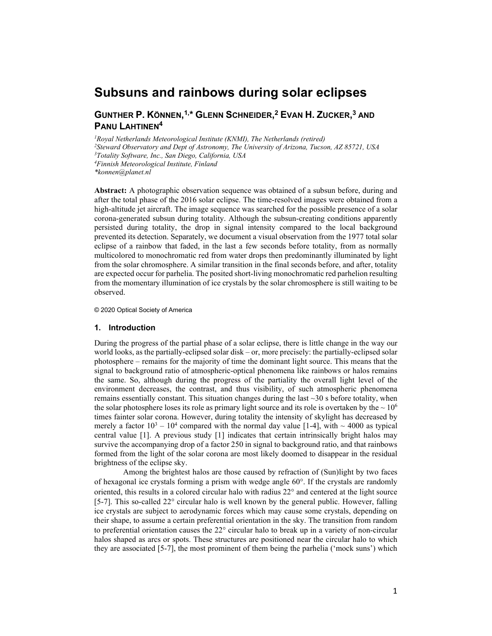# **Subsuns and rainbows during solar eclipses**

# **GUNTHER P. KÖNNEN, 1,\* GLENN SCHNEIDER, <sup>2</sup> EVAN H. ZUCKER, <sup>3</sup> AND PANU LAHTINEN4**

*1Royal Netherlands Meteorological Institute (KNMI), The Netherlands (retired) 2Steward Observatory and Dept of Astronomy, The University of Arizona, Tucson, AZ 85721, USA 3Totality Software, Inc., San Diego, California, USA 4Finnish Meteorological Institute, Finland \*konnen@planet.nl*

**Abstract:** A photographic observation sequence was obtained of a subsun before, during and after the total phase of the 2016 solar eclipse. The time-resolved images were obtained from a high-altitude jet aircraft. The image sequence was searched for the possible presence of a solar corona-generated subsun during totality. Although the subsun-creating conditions apparently persisted during totality, the drop in signal intensity compared to the local background prevented its detection. Separately, we document a visual observation from the 1977 total solar eclipse of a rainbow that faded, in the last a few seconds before totality, from as normally multicolored to monochromatic red from water drops then predominantly illuminated by light from the solar chromosphere. A similar transition in the final seconds before, and after, totality are expected occur for parhelia. The posited short-living monochromatic red parhelion resulting from the momentary illumination of ice crystals by the solar chromosphere is still waiting to be observed.

© 2020 Optical Society of America

#### **1. Introduction**

During the progress of the partial phase of a solar eclipse, there is little change in the way our world looks, as the partially-eclipsed solar disk – or, more precisely: the partially-eclipsed solar photosphere – remains for the majority of time the dominant light source. This means that the signal to background ratio of atmospheric-optical phenomena like rainbows or halos remains the same. So, although during the progress of the partiality the overall light level of the environment decreases, the contrast, and thus visibility, of such atmospheric phenomena remains essentially constant. This situation changes during the last  $\sim$ 30 s before totality, when the solar photosphere loses its role as primary light source and its role is overtaken by the  $\sim 10^6$ times fainter solar corona. However, during totality the intensity of skylight has decreased by merely a factor  $10^3 - 10^4$  compared with the normal day value [1-4], with  $\sim 4000$  as typical central value [1]. A previous study [1] indicates that certain intrinsically bright halos may survive the accompanying drop of a factor 250 in signal to background ratio, and that rainbows formed from the light of the solar corona are most likely doomed to disappear in the residual brightness of the eclipse sky.

Among the brightest halos are those caused by refraction of (Sun)light by two faces of hexagonal ice crystals forming a prism with wedge angle 60°. If the crystals are randomly oriented, this results in a colored circular halo with radius 22° and centered at the light source [5-7]. This so-called 22° circular halo is well known by the general public. However, falling ice crystals are subject to aerodynamic forces which may cause some crystals, depending on their shape, to assume a certain preferential orientation in the sky. The transition from random to preferential orientation causes the 22° circular halo to break up in a variety of non-circular halos shaped as arcs or spots. These structures are positioned near the circular halo to which they are associated [5-7], the most prominent of them being the parhelia ('mock suns') which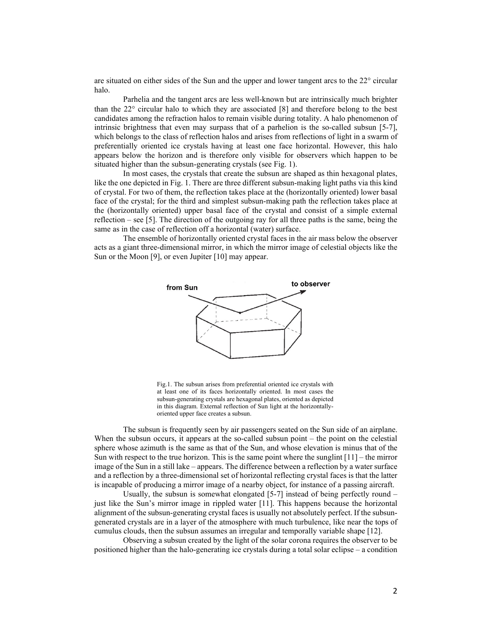are situated on either sides of the Sun and the upper and lower tangent arcs to the 22° circular halo.

Parhelia and the tangent arcs are less well-known but are intrinsically much brighter than the 22° circular halo to which they are associated [8] and therefore belong to the best candidates among the refraction halos to remain visible during totality. A halo phenomenon of intrinsic brightness that even may surpass that of a parhelion is the so-called subsun [5-7], which belongs to the class of reflection halos and arises from reflections of light in a swarm of preferentially oriented ice crystals having at least one face horizontal. However, this halo appears below the horizon and is therefore only visible for observers which happen to be situated higher than the subsun-generating crystals (see Fig. 1).

In most cases, the crystals that create the subsun are shaped as thin hexagonal plates, like the one depicted in Fig. 1. There are three different subsun-making light paths via this kind of crystal. For two of them, the reflection takes place at the (horizontally oriented) lower basal face of the crystal; for the third and simplest subsun-making path the reflection takes place at the (horizontally oriented) upper basal face of the crystal and consist of a simple external reflection – see [5]. The direction of the outgoing ray for all three paths is the same, being the same as in the case of reflection off a horizontal (water) surface.

The ensemble of horizontally oriented crystal faces in the air mass below the observer acts as a giant three-dimensional mirror, in which the mirror image of celestial objects like the Sun or the Moon [9], or even Jupiter [10] may appear.



Fig.1. The subsun arises from preferential oriented ice crystals with at least one of its faces horizontally oriented. In most cases the subsun-generating crystals are hexagonal plates, oriented as depicted in this diagram. External reflection of Sun light at the horizontallyoriented upper face creates a subsun.

The subsun is frequently seen by air passengers seated on the Sun side of an airplane. When the subsun occurs, it appears at the so-called subsun point – the point on the celestial sphere whose azimuth is the same as that of the Sun, and whose elevation is minus that of the Sun with respect to the true horizon. This is the same point where the sunglint  $[11]$  – the mirror image of the Sun in a still lake – appears. The difference between a reflection by a water surface and a reflection by a three-dimensional set of horizontal reflecting crystal faces is that the latter is incapable of producing a mirror image of a nearby object, for instance of a passing aircraft.

Usually, the subsun is somewhat elongated [5-7] instead of being perfectly round – just like the Sun's mirror image in rippled water [11]. This happens because the horizontal alignment of the subsun-generating crystal faces is usually not absolutely perfect. If the subsungenerated crystals are in a layer of the atmosphere with much turbulence, like near the tops of cumulus clouds, then the subsun assumes an irregular and temporally variable shape [12].

Observing a subsun created by the light of the solar corona requires the observer to be positioned higher than the halo-generating ice crystals during a total solar eclipse – a condition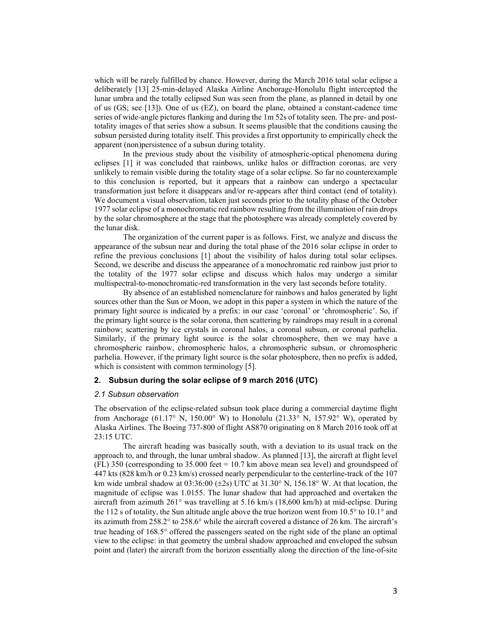which will be rarely fulfilled by chance. However, during the March 2016 total solar eclipse a deliberately [13] 25-min-delayed Alaska Airline Anchorage-Honolulu flight intercepted the lunar umbra and the totally eclipsed Sun was seen from the plane, as planned in detail by one of us (GS; see [13]). One of us (EZ), on board the plane, obtained a constant-cadence time series of wide-angle pictures flanking and during the 1m 52s of totality seen. The pre- and posttotality images of that series show a subsun. It seems plausible that the conditions causing the subsun persisted during totality itself. This provides a first opportunity to empirically check the apparent (non)persistence of a subsun during totality.

In the previous study about the visibility of atmospheric-optical phenomena during eclipses [1] it was concluded that rainbows, unlike halos or diffraction coronas, are very unlikely to remain visible during the totality stage of a solar eclipse. So far no counterexample to this conclusion is reported, but it appears that a rainbow can undergo a spectacular transformation just before it disappears and/or re-appears after third contact (end of totality). We document a visual observation, taken just seconds prior to the totality phase of the October 1977 solar eclipse of a monochromatic red rainbow resulting from the illumination of rain drops by the solar chromosphere at the stage that the photosphere was already completely covered by the lunar disk.

The organization of the current paper is as follows. First, we analyze and discuss the appearance of the subsun near and during the total phase of the 2016 solar eclipse in order to refine the previous conclusions [1] about the visibility of halos during total solar eclipses. Second, we describe and discuss the appearance of a monochromatic red rainbow just prior to the totality of the 1977 solar eclipse and discuss which halos may undergo a similar multispectral-to-monochromatic-red transformation in the very last seconds before totality.

By absence of an established nomenclature for rainbows and halos generated by light sources other than the Sun or Moon, we adopt in this paper a system in which the nature of the primary light source is indicated by a prefix: in our case 'coronal' or 'chromospheric'. So, if the primary light source is the solar corona, then scattering by raindrops may result in a coronal rainbow; scattering by ice crystals in coronal halos, a coronal subsun, or coronal parhelia. Similarly, if the primary light source is the solar chromosphere, then we may have a chromospheric rainbow, chromospheric halos, a chromospheric subsun, or chromospheric parhelia. However, if the primary light source is the solar photosphere, then no prefix is added, which is consistent with common terminology [5].

# **2. Subsun during the solar eclipse of 9 march 2016 (UTC)**

#### *2.1 Subsun observation*

The observation of the eclipse-related subsun took place during a commercial daytime flight from Anchorage (61.17° N, 150.00° W) to Honolulu (21.33° N, 157.92° W), operated by Alaska Airlines. The Boeing 737-800 of flight AS870 originating on 8 March 2016 took off at 23:15 UTC.

The aircraft heading was basically south, with a deviation to its usual track on the approach to, and through, the lunar umbral shadow. As planned [13], the aircraft at flight level (FL) 350 (corresponding to 35.000 feet = 10.7 km above mean sea level) and groundspeed of 447 kts (828 km/h or 0.23 km/s) crossed nearly perpendicular to the centerline-track of the 107 km wide umbral shadow at  $03:36:00 (\pm 2s)$  UTC at  $31.30^{\circ}$  N,  $156.18^{\circ}$  W. At that location, the magnitude of eclipse was 1.0155. The lunar shadow that had approached and overtaken the aircraft from azimuth 261° was travelling at 5.16 km/s (18,600 km/h) at mid-eclipse. During the 112 s of totality, the Sun altitude angle above the true horizon went from 10.5° to 10.1° and its azimuth from 258.2° to 258.6° while the aircraft covered a distance of 26 km. The aircraft's true heading of 168.5° offered the passengers seated on the right side of the plane an optimal view to the eclipse: in that geometry the umbral shadow approached and enveloped the subsun point and (later) the aircraft from the horizon essentially along the direction of the line-of-site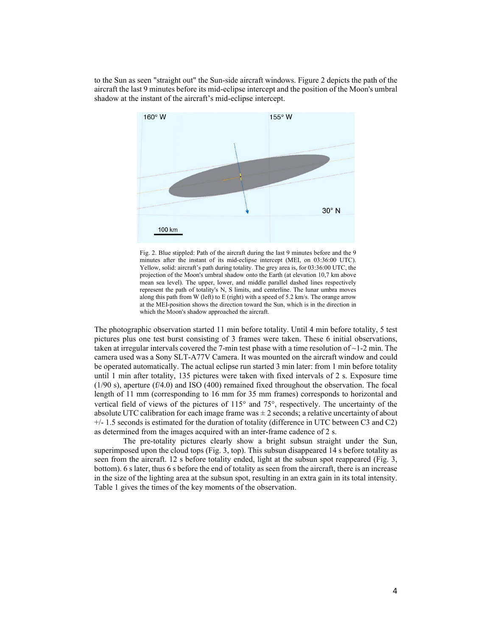to the Sun as seen "straight out" the Sun-side aircraft windows. Figure 2 depicts the path of the aircraft the last 9 minutes before its mid-eclipse intercept and the position of the Moon's umbral shadow at the instant of the aircraft's mid-eclipse intercept.



Fig. 2. Blue stippled: Path of the aircraft during the last 9 minutes before and the 9 minutes after the instant of its mid-eclipse intercept (MEI, on 03:36:00 UTC). Yellow, solid: aircraft's path during totality. The grey area is, for 03:36:00 UTC, the projection of the Moon's umbral shadow onto the Earth (at elevation 10,7 km above mean sea level). The upper, lower, and middle parallel dashed lines respectively represent the path of totality's N, S limits, and centerline. The lunar umbra moves along this path from W (left) to E (right) with a speed of 5.2 km/s. The orange arrow at the MEI-position shows the direction toward the Sun, which is in the direction in which the Moon's shadow approached the aircraft.

The photographic observation started 11 min before totality. Until 4 min before totality, 5 test pictures plus one test burst consisting of 3 frames were taken. These 6 initial observations, taken at irregular intervals covered the 7-min test phase with a time resolution of  $\sim$ 1-2 min. The camera used was a Sony SLT-A77V Camera. It was mounted on the aircraft window and could be operated automatically. The actual eclipse run started 3 min later: from 1 min before totality until 1 min after totality, 135 pictures were taken with fixed intervals of 2 s. Exposure time (1/90 s), aperture (f/4.0) and ISO (400) remained fixed throughout the observation. The focal length of 11 mm (corresponding to 16 mm for 35 mm frames) corresponds to horizontal and vertical field of views of the pictures of 115° and 75°, respectively. The uncertainty of the absolute UTC calibration for each image frame was  $\pm 2$  seconds; a relative uncertainty of about  $+/- 1.5$  seconds is estimated for the duration of totality (difference in UTC between C3 and C2) as determined from the images acquired with an inter-frame cadence of 2 s.

The pre-totality pictures clearly show a bright subsun straight under the Sun, superimposed upon the cloud tops (Fig. 3, top). This subsun disappeared 14 s before totality as seen from the aircraft. 12 s before totality ended, light at the subsun spot reappeared (Fig. 3, bottom). 6 s later, thus 6 s before the end of totality as seen from the aircraft, there is an increase in the size of the lighting area at the subsun spot, resulting in an extra gain in its total intensity. Table 1 gives the times of the key moments of the observation.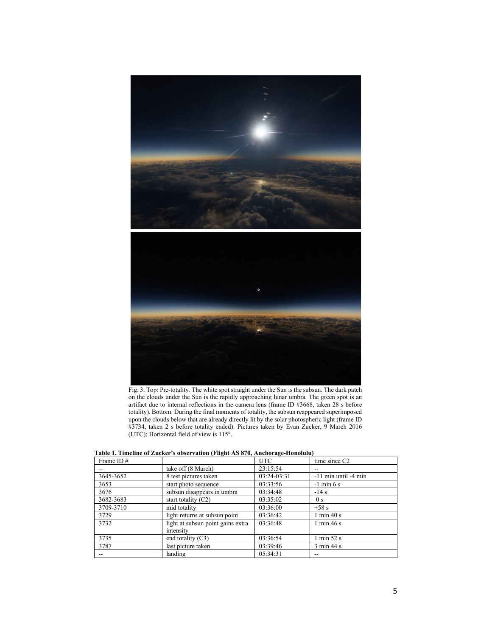

Fig. 3. Top: Pre-totality. The white spot straight under the Sun is the subsun. The dark patch on the clouds under the Sun is the rapidly approaching lunar umbra. The green spot is an artifact due to internal reflections in the camera lens (frame ID #3668, taken 28 s before totality). Bottom: During the final moments of totality, the subsun reappeared superimposed upon the clouds below that are already directly lit by the solar photospheric light (frame ID #3734, taken 2 s before totality ended). Pictures taken by Evan Zucker, 9 March 2016 (UTC); Horizontal field of view is 115°.

| l adie 1. Timeline of Zucker's odservation (Filght AS 870, Anchorage-Honolulu) |                                                |               |                               |  |  |  |
|--------------------------------------------------------------------------------|------------------------------------------------|---------------|-------------------------------|--|--|--|
| Frame ID $#$                                                                   |                                                | UTC           | time since C <sub>2</sub>     |  |  |  |
|                                                                                | take off (8 March)                             | 23:15:54      |                               |  |  |  |
| 3645-3652                                                                      | 8 test pictures taken                          | $03:24-03:31$ | $-11$ min until $-4$ min      |  |  |  |
| 3653                                                                           | start photo sequence                           | 03:33:56      | $-1$ min 6 s                  |  |  |  |
| 3676                                                                           | subsun disappears in umbra                     | 03:34:48      | $-14s$                        |  |  |  |
| 3682-3683                                                                      | start totality $(C2)$                          | 03:35:02      | 0 <sub>s</sub>                |  |  |  |
| 3709-3710                                                                      | mid totality                                   | 03:36:00      | $+58s$                        |  |  |  |
| 3729                                                                           | light returns at subsun point                  | 03:36:42      | $1 \text{ min } 40 \text{ s}$ |  |  |  |
| 3732                                                                           | light at subsun point gains extra<br>intensity | 03:36:48      | $1 \text{ min } 46 \text{ s}$ |  |  |  |
| 3735                                                                           | end totality $(C3)$                            | 03:36:54      | $1 \text{ min } 52 \text{ s}$ |  |  |  |
| 3787                                                                           | last picture taken                             | 03:39:46      | $3 \text{ min } 44 \text{ s}$ |  |  |  |
|                                                                                | landing                                        | 05:34:31      |                               |  |  |  |

**Table 1. Timeline of Zucker's observation (Flight AS 870, Anchorage-Honolulu)**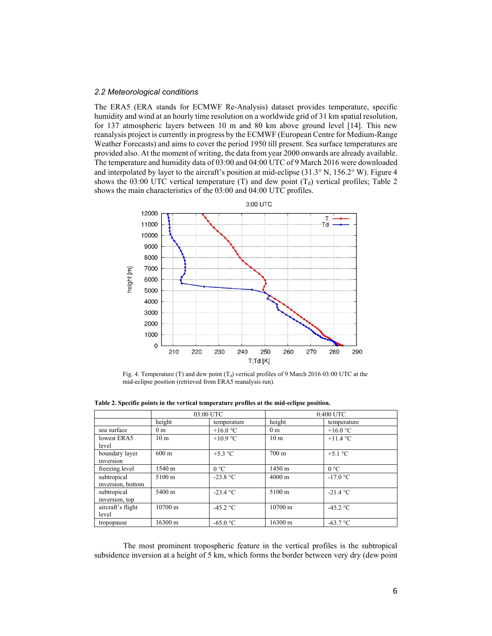#### *2.2 Meteorological conditions*

The ERA5 (ERA stands for ECMWF Re-Analysis) dataset provides temperature, specific humidity and wind at an hourly time resolution on a worldwide grid of 31 km spatial resolution, for 137 atmospheric layers between 10 m and 80 km above ground level [14]. This new reanalysis project is currently in progress by the ECMWF (European Centre for Medium-Range Weather Forecasts) and aims to cover the period 1950 till present. Sea surface temperatures are provided also. At the moment of writing, the data from year 2000 onwards are already available. The temperature and humidity data of 03:00 and 04:00 UTC of 9 March 2016 were downloaded and interpolated by layer to the aircraft's position at mid-eclipse (31.3° N, 156.2° W). Figure 4 shows the 03:00 UTC vertical temperature (T) and dew point  $(T_d)$  vertical profiles; Table 2 shows the main characteristics of the 03:00 and 04:00 UTC profiles.



Fig. 4. Temperature (T) and dew point  $(T_d)$  vertical profiles of 9 March 2016 03:00 UTC at the mid-eclipse position (retrieved from ERA5 reanalysis run).

**Table 2. Specific points in the vertical temperature profiles at the mid-eclipse position.**

|                                  | 03:00 UTC         |                   | 0:400 UTC         |                   |
|----------------------------------|-------------------|-------------------|-------------------|-------------------|
|                                  | height            | temperature       | height            | temperature       |
| sea surface                      | 0 <sub>m</sub>    | +16.0 $\degree$ C | 0 <sub>m</sub>    | +16.0 $\degree$ C |
| lowest ERA5<br>level             | 10 <sub>m</sub>   | $+10.9$ °C        | 10 <sub>m</sub>   | $+11.4 °C$        |
| boundary layer<br>inversion      | $600 \text{ m}$   | $+5.3$ °C         | $700 \text{ m}$   | $+5.1$ °C         |
| freezing level                   | 1540 m            | $0^{\circ}$ C     | 1450 m            | $0^{\circ}C$      |
| subtropical<br>inversion, bottom | $5100 \;{\rm m}$  | $-23.8 °C$        | $4000 \text{ m}$  | $-17.0 °C$        |
| subtropical<br>inversion, top    | $5400 \text{ m}$  | $-23.4 °C$        | $5100 \text{ m}$  | $-21.4 °C$        |
| aircraft's flight<br>level       | $10700 \text{ m}$ | $-45.2 °C$        | $10700 \text{ m}$ | $-45.2 °C$        |
| tropopause                       | 16300 m           | $-65.0$ °C        | $16300 \text{ m}$ | $-63.7 °C$        |

The most prominent tropospheric feature in the vertical profiles is the subtropical subsidence inversion at a height of 5 km, which forms the border between very dry (dew point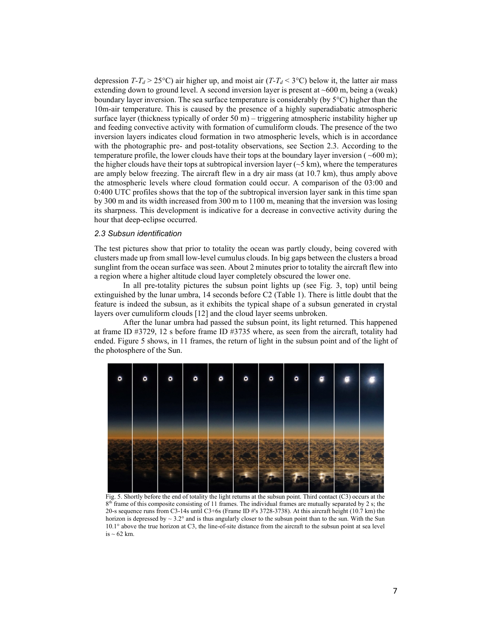depression *T-T<sub>d</sub>* > 25°C) air higher up, and moist air (*T-T<sub>d</sub>* < 3°C) below it, the latter air mass extending down to ground level. A second inversion layer is present at ~600 m, being a (weak) boundary layer inversion. The sea surface temperature is considerably (by 5°C) higher than the 10m-air temperature. This is caused by the presence of a highly superadiabatic atmospheric surface layer (thickness typically of order  $50 \text{ m}$ ) – triggering atmospheric instability higher up and feeding convective activity with formation of cumuliform clouds. The presence of the two inversion layers indicates cloud formation in two atmospheric levels, which is in accordance with the photographic pre- and post-totality observations, see Section 2.3. According to the temperature profile, the lower clouds have their tops at the boundary layer inversion ( $\sim 600 \text{ m}$ ); the higher clouds have their tops at subtropical inversion layer ( $\sim$ 5 km), where the temperatures are amply below freezing. The aircraft flew in a dry air mass (at 10.7 km), thus amply above the atmospheric levels where cloud formation could occur. A comparison of the 03:00 and 0:400 UTC profiles shows that the top of the subtropical inversion layer sank in this time span by 300 m and its width increased from 300 m to 1100 m, meaning that the inversion was losing its sharpness. This development is indicative for a decrease in convective activity during the hour that deep-eclipse occurred.

# *2.3 Subsun identification*

The test pictures show that prior to totality the ocean was partly cloudy, being covered with clusters made up from small low-level cumulus clouds. In big gaps between the clusters a broad sunglint from the ocean surface was seen. About 2 minutes prior to totality the aircraft flew into a region where a higher altitude cloud layer completely obscured the lower one.

In all pre-totality pictures the subsun point lights up (see Fig. 3, top) until being extinguished by the lunar umbra, 14 seconds before C2 (Table 1). There is little doubt that the feature is indeed the subsun, as it exhibits the typical shape of a subsun generated in crystal layers over cumuliform clouds [12] and the cloud layer seems unbroken.

After the lunar umbra had passed the subsun point, its light returned. This happened at frame ID #3729, 12 s before frame ID #3735 where, as seen from the aircraft, totality had ended. Figure 5 shows, in 11 frames, the return of light in the subsun point and of the light of the photosphere of the Sun.



Fig. 5. Shortly before the end of totality the light returns at the subsun point. Third contact (C3) occurs at the  $8<sup>th</sup>$  frame of this composite consisting of 11 frames. The individual frames are mutually separated by 2 s; the 20-s sequence runs from C3-14s until C3+6s (Frame ID #'s 3728-3738). At this aircraft height (10.7 km) the horizon is depressed by  $\sim 3.2^{\circ}$  and is thus angularly closer to the subsun point than to the sun. With the Sun 10.1° above the true horizon at C3, the line-of-site distance from the aircraft to the subsun point at sea level is  $\sim$  62 km.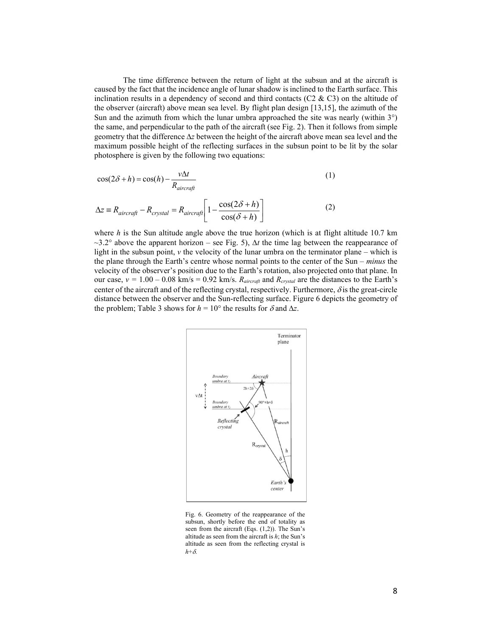The time difference between the return of light at the subsun and at the aircraft is caused by the fact that the incidence angle of lunar shadow is inclined to the Earth surface. This inclination results in a dependency of second and third contacts ( $C2 \& C3$ ) on the altitude of the observer (aircraft) above mean sea level. By flight plan design [13,15], the azimuth of the Sun and the azimuth from which the lunar umbra approached the site was nearly (within 3°) the same, and perpendicular to the path of the aircraft (see Fig. 2). Then it follows from simple geometry that the difference ∆*z* between the height of the aircraft above mean sea level and the maximum possible height of the reflecting surfaces in the subsun point to be lit by the solar photosphere is given by the following two equations:

$$
\cos(2\delta + h) = \cos(h) - \frac{v\Delta t}{R_{\text{aircraft}}} \tag{1}
$$

$$
\Delta z = R_{\text{aircraft}} - R_{\text{crystal}} = R_{\text{aircraft}} \left[ 1 - \frac{\cos(2\delta + h)}{\cos(\delta + h)} \right]
$$
 (2)

where  $h$  is the Sun altitude angle above the true horizon (which is at flight altitude 10.7 km  $\sim$ 3.2° above the apparent horizon – see Fig. 5),  $\Delta t$  the time lag between the reappearance of light in the subsun point, *v* the velocity of the lunar umbra on the terminator plane – which is the plane through the Earth's centre whose normal points to the center of the Sun – *minus* the velocity of the observer's position due to the Earth's rotation, also projected onto that plane. In our case,  $v = 1.00 - 0.08$  km/s = 0.92 km/s.  $R_{\text{aircraft}}$  and  $R_{\text{crystal}}$  are the distances to the Earth's center of the aircraft and of the reflecting crystal, respectively. Furthermore,  $\delta$  is the great-circle distance between the observer and the Sun-reflecting surface. Figure 6 depicts the geometry of the problem; Table 3 shows for  $h = 10^{\circ}$  the results for  $\delta$  and  $\Delta z$ .



Fig. 6. Geometry of the reappearance of the subsun, shortly before the end of totality as seen from the aircraft (Eqs. (1,2)). The Sun's altitude as seen from the aircraft is *h*; the Sun's altitude as seen from the reflecting crystal is *h*+δ.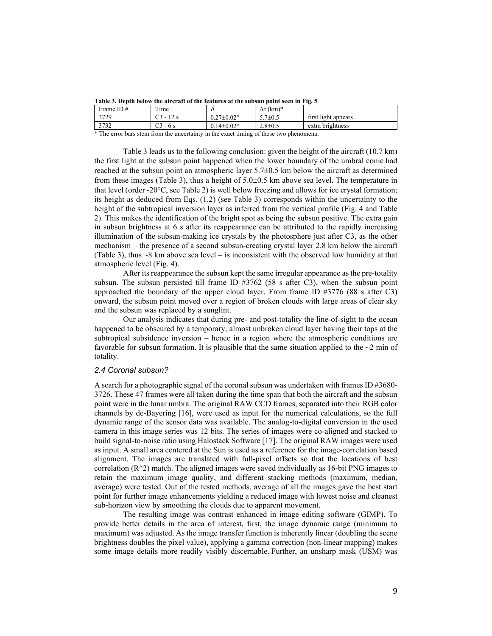| T apic 5. Depth below the all craft of the features at the subsult point seen in Fig. 5 |                |  |               |                     |  |  |  |
|-----------------------------------------------------------------------------------------|----------------|--|---------------|---------------------|--|--|--|
| Frame ID $#$                                                                            | <sub>1me</sub> |  | - (km)*<br>Λz |                     |  |  |  |
| 3729                                                                                    |                |  | $+0$ .        | first light appears |  |  |  |

3732 C3 - 6 s 0.14±0.02° 2.8±0.5 extra brightness

**Table 3. Depth below the aircraft of the features at the subsun point seen in Fig. 5**

\* The error bars stem from the uncertainty in the exact timing of these two phenomena.

Table 3 leads us to the following conclusion: given the height of the aircraft (10.7 km) the first light at the subsun point happened when the lower boundary of the umbral conic had reached at the subsun point an atmospheric layer 5.7±0.5 km below the aircraft as determined from these images (Table 3), thus a height of 5.0±0.5 km above sea level. The temperature in that level (order -20°C, see Table 2) is well below freezing and allows for ice crystal formation; its height as deduced from Eqs. (1,2) (see Table 3) corresponds within the uncertainty to the height of the subtropical inversion layer as inferred from the vertical profile (Fig. 4 and Table 2). This makes the identification of the bright spot as being the subsun positive. The extra gain in subsun brightness at 6 s after its reappearance can be attributed to the rapidly increasing illumination of the subsun-making ice crystals by the photosphere just after C3, as the other mechanism – the presence of a second subsun-creating crystal layer 2.8 km below the aircraft (Table 3), thus  $\sim$ 8 km above sea level – is inconsistent with the observed low humidity at that atmospheric level (Fig. 4).

After its reappearance the subsun kept the same irregular appearance as the pre-totality subsun. The subsun persisted till frame ID #3762 (58 s after C3), when the subsun point approached the boundary of the upper cloud layer. From frame ID #3776 (88 s after C3) onward, the subsun point moved over a region of broken clouds with large areas of clear sky and the subsun was replaced by a sunglint.

Our analysis indicates that during pre- and post-totality the line-of-sight to the ocean happened to be obscured by a temporary, almost unbroken cloud layer having their tops at the subtropical subsidence inversion – hence in a region where the atmospheric conditions are favorable for subsun formation. It is plausible that the same situation applied to the  $\sim$ 2 min of totality.

# *2.4 Coronal subsun?*

A search for a photographic signal of the coronal subsun was undertaken with frames ID  $\#3680$ -3726. These 47 frames were all taken during the time span that both the aircraft and the subsun point were in the lunar umbra. The original RAW CCD frames, separated into their RGB color channels by de-Bayering [16], were used as input for the numerical calculations, so the full dynamic range of the sensor data was available. The analog-to-digital conversion in the used camera in this image series was 12 bits. The series of images were co-aligned and stacked to build signal-to-noise ratio using Halostack Software [17]. The original RAW images were used as input. A small area centered at the Sun is used as a reference for the image-correlation based alignment. The images are translated with full-pixel offsets so that the locations of best correlation  $(R^2)$  match. The aligned images were saved individually as 16-bit PNG images to retain the maximum image quality, and different stacking methods (maximum, median, average) were tested. Out of the tested methods, average of all the images gave the best start point for further image enhancements yielding a reduced image with lowest noise and cleanest sub-horizon view by smoothing the clouds due to apparent movement.

The resulting image was contrast enhanced in image editing software (GIMP). To provide better details in the area of interest, first, the image dynamic range (minimum to maximum) was adjusted. As the image transfer function is inherently linear (doubling the scene brightness doubles the pixel value), applying a gamma correction (non-linear mapping) makes some image details more readily visibly discernable. Further, an unsharp mask (USM) was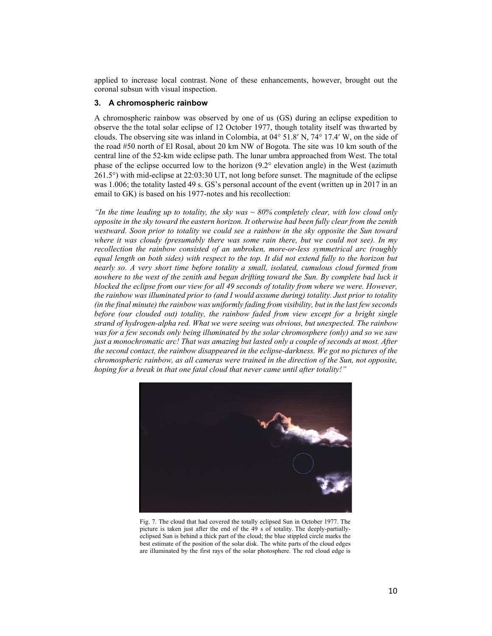applied to increase local contrast. None of these enhancements, however, brought out the coronal subsun with visual inspection.

#### **3. A chromospheric rainbow**

A chromospheric rainbow was observed by one of us (GS) during an eclipse expedition to observe the the total solar eclipse of 12 October 1977, though totality itself was thwarted by clouds. The observing site was inland in Colombia, at 04° 51.8′ N, 74° 17.4′ W, on the side of the road #50 north of El Rosal, about 20 km NW of Bogota. The site was 10 km south of the central line of the 52-km wide eclipse path. The lunar umbra approached from West. The total phase of the eclipse occurred low to the horizon (9.2° elevation angle) in the West (azimuth 261.5°) with mid-eclipse at 22:03:30 UT, not long before sunset. The magnitude of the eclipse was 1.006; the totality lasted 49 s. GS's personal account of the event (written up in 2017 in an email to GK) is based on his 1977-notes and his recollection:

*"In the time leading up to totality, the sky was ~ 80% completely clear, with low cloud only opposite in the sky toward the eastern horizon. It otherwise had been fully clear from the zenith westward. Soon prior to totality we could see a rainbow in the sky opposite the Sun toward where it was cloudy (presumably there was some rain there, but we could not see). In my recollection the rainbow consisted of an unbroken, more-or-less symmetrical arc (roughly equal length on both sides) with respect to the top. It did not extend fully to the horizon but nearly so. A very short time before totality a small, isolated, cumulous cloud formed from nowhere to the west of the zenith and began drifting toward the Sun. By complete bad luck it blocked the eclipse from our view for all 49 seconds of totality from where we were. However, the rainbow was illuminated prior to (and I would assume during) totality. Just prior to totality (in the final minute) the rainbow was uniformly fading from visibility, but in the last few seconds before (our clouded out) totality, the rainbow faded from view except for a bright single strand of hydrogen-alpha red. What we were seeing was obvious, but unexpected. The rainbow was for a few seconds only being illuminated by the solar chromosphere (only) and so we saw just a monochromatic arc! That was amazing but lasted only a couple of seconds at most. After the second contact, the rainbow disappeared in the eclipse-darkness. We got no pictures of the chromospheric rainbow, as all cameras were trained in the direction of the Sun, not opposite, hoping for a break in that one fatal cloud that never came until after totality!"*



Fig. 7. The cloud that had covered the totally eclipsed Sun in October 1977. The picture is taken just after the end of the 49 s of totality. The deeply-partiallyeclipsed Sun is behind a thick part of the cloud; the blue stippled circle marks the best estimate of the position of the solar disk. The white parts of the cloud edges are illuminated by the first rays of the solar photosphere. The red cloud edge is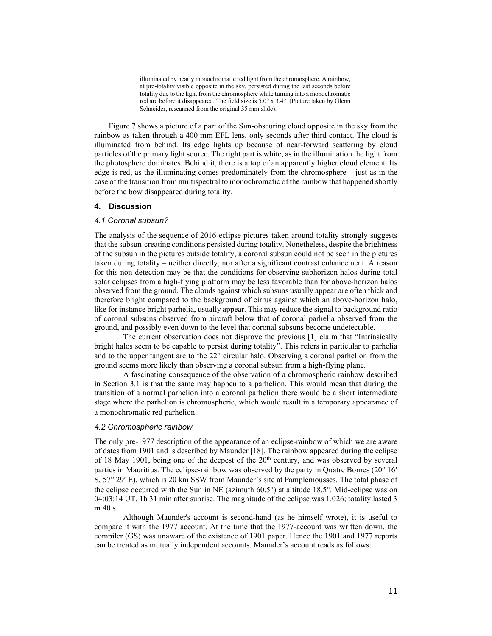illuminated by nearly monochromatic red light from the chromosphere. A rainbow, at pre-totality visible opposite in the sky, persisted during the last seconds before totality due to the light from the chromosphere while turning into a monochromatic red arc before it disappeared. The field size is 5.0° x 3.4°. (Picture taken by Glenn Schneider, rescanned from the original 35 mm slide).

Figure 7 shows a picture of a part of the Sun-obscuring cloud opposite in the sky from the rainbow as taken through a 400 mm EFL lens, only seconds after third contact. The cloud is illuminated from behind. Its edge lights up because of near-forward scattering by cloud particles of the primary light source. The right part is white, as in the illumination the light from the photosphere dominates. Behind it, there is a top of an apparently higher cloud element. Its edge is red, as the illuminating comes predominately from the chromosphere – just as in the case of the transition from multispectral to monochromatic of the rainbow that happened shortly before the bow disappeared during totality.

#### **4. Discussion**

#### *4.1 Coronal subsun?*

The analysis of the sequence of 2016 eclipse pictures taken around totality strongly suggests that the subsun-creating conditions persisted during totality. Nonetheless, despite the brightness of the subsun in the pictures outside totality, a coronal subsun could not be seen in the pictures taken during totality – neither directly, nor after a significant contrast enhancement. A reason for this non-detection may be that the conditions for observing subhorizon halos during total solar eclipses from a high-flying platform may be less favorable than for above-horizon halos observed from the ground. The clouds against which subsuns usually appear are often thick and therefore bright compared to the background of cirrus against which an above-horizon halo, like for instance bright parhelia, usually appear. This may reduce the signal to background ratio of coronal subsuns observed from aircraft below that of coronal parhelia observed from the ground, and possibly even down to the level that coronal subsuns become undetectable.

The current observation does not disprove the previous [1] claim that "Intrinsically bright halos seem to be capable to persist during totality". This refers in particular to parhelia and to the upper tangent arc to the 22° circular halo. Observing a coronal parhelion from the ground seems more likely than observing a coronal subsun from a high-flying plane.

A fascinating consequence of the observation of a chromospheric rainbow described in Section 3.1 is that the same may happen to a parhelion. This would mean that during the transition of a normal parhelion into a coronal parhelion there would be a short intermediate stage where the parhelion is chromospheric, which would result in a temporary appearance of a monochromatic red parhelion.

#### *4.2 Chromospheric rainbow*

The only pre-1977 description of the appearance of an eclipse-rainbow of which we are aware of dates from 1901 and is described by Maunder [18]. The rainbow appeared during the eclipse of 18 May 1901, being one of the deepest of the  $20<sup>th</sup>$  century, and was observed by several parties in Mauritius. The eclipse-rainbow was observed by the party in Quatre Bornes (20° 16′ S, 57° 29′ E), which is 20 km SSW from Maunder's site at Pamplemousses. The total phase of the eclipse occurred with the Sun in NE (azimuth 60.5°) at altitude 18.5°. Mid-eclipse was on 04:03:14 UT, 1h 31 min after sunrise. The magnitude of the eclipse was 1.026; totality lasted 3 m 40 s.

Although Maunder's account is second-hand (as he himself wrote), it is useful to compare it with the 1977 account. At the time that the 1977-account was written down, the compiler (GS) was unaware of the existence of 1901 paper. Hence the 1901 and 1977 reports can be treated as mutually independent accounts. Maunder's account reads as follows: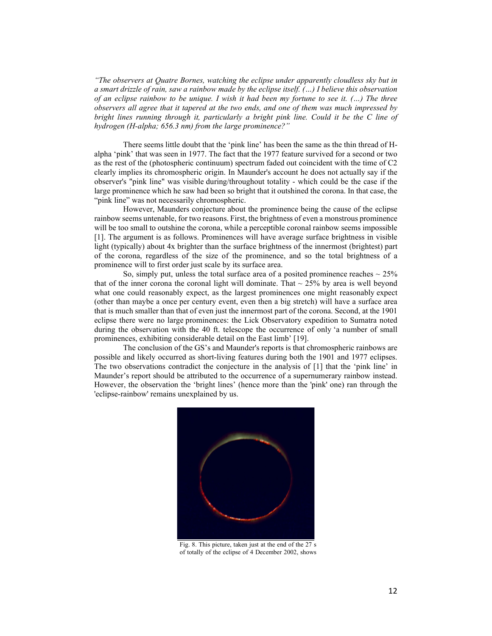*"The observers at Quatre Bornes, watching the eclipse under apparently cloudless sky but in a smart drizzle of rain, saw a rainbow made by the eclipse itself. (…) I believe this observation of an eclipse rainbow to be unique. I wish it had been my fortune to see it. (…) The three observers all agree that it tapered at the two ends, and one of them was much impressed by bright lines running through it, particularly a bright pink line. Could it be the C line of hydrogen (H-alpha; 656.3 nm) from the large prominence?"*

There seems little doubt that the 'pink line' has been the same as the thin thread of Halpha 'pink' that was seen in 1977. The fact that the 1977 feature survived for a second or two as the rest of the (photospheric continuum) spectrum faded out coincident with the time of C2 clearly implies its chromospheric origin. In Maunder's account he does not actually say if the observer's "pink line" was visible during/throughout totality - which could be the case if the large prominence which he saw had been so bright that it outshined the corona. In that case, the "pink line" was not necessarily chromospheric.

However, Maunders conjecture about the prominence being the cause of the eclipse rainbow seems untenable, for two reasons. First, the brightness of even a monstrous prominence will be too small to outshine the corona, while a perceptible coronal rainbow seems impossible [1]. The argument is as follows. Prominences will have average surface brightness in visible light (typically) about 4x brighter than the surface brightness of the innermost (brightest) part of the corona, regardless of the size of the prominence, and so the total brightness of a prominence will to first order just scale by its surface area.

So, simply put, unless the total surface area of a posited prominence reaches  $\sim$  25% that of the inner corona the coronal light will dominate. That  $\sim$  25% by area is well beyond what one could reasonably expect, as the largest prominences one might reasonably expect (other than maybe a once per century event, even then a big stretch) will have a surface area that is much smaller than that of even just the innermost part of the corona. Second, at the 1901 eclipse there were no large prominences: the Lick Observatory expedition to Sumatra noted during the observation with the 40 ft. telescope the occurrence of only 'a number of small prominences, exhibiting considerable detail on the East limb' [19].

The conclusion of the GS's and Maunder's reports is that chromospheric rainbows are possible and likely occurred as short-living features during both the 1901 and 1977 eclipses. The two observations contradict the conjecture in the analysis of [1] that the 'pink line' in Maunder's report should be attributed to the occurrence of a supernumerary rainbow instead. However, the observation the 'bright lines' (hence more than the 'pink' one) ran through the 'eclipse-rainbow' remains unexplained by us.



Fig. 8. This picture, taken just at the end of the 27 s of totally of the eclipse of 4 December 2002, shows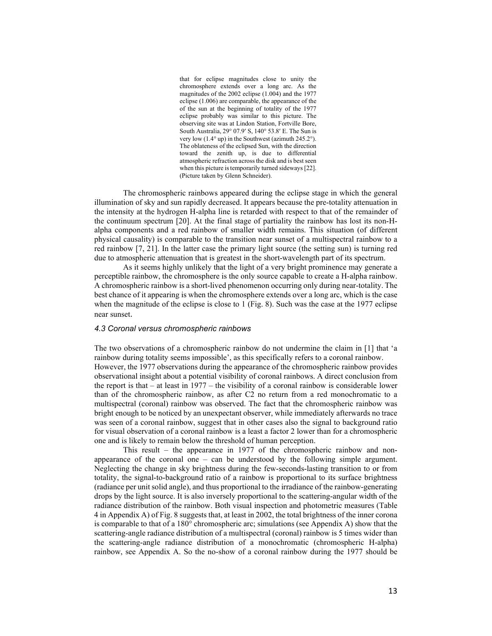that for eclipse magnitudes close to unity the chromosphere extends over a long arc. As the magnitudes of the 2002 eclipse (1.004) and the 1977 eclipse (1.006) are comparable, the appearance of the of the sun at the beginning of totality of the 1977 eclipse probably was similar to this picture. The observing site was at Lindon Station, Fortville Bore, South Australia, 29° 07.9′ S, 140° 53.8′ E. The Sun is very low (1.4° up) in the Southwest (azimuth 245.2°). The oblateness of the eclipsed Sun, with the direction toward the zenith up, is due to differential atmospheric refraction across the disk and is best seen when this picture is temporarily turned sideways [22]. (Picture taken by Glenn Schneider).

The chromospheric rainbows appeared during the eclipse stage in which the general illumination of sky and sun rapidly decreased. It appears because the pre-totality attenuation in the intensity at the hydrogen H-alpha line is retarded with respect to that of the remainder of the continuum spectrum [20]. At the final stage of partiality the rainbow has lost its non-Halpha components and a red rainbow of smaller width remains. This situation (of different physical causality) is comparable to the transition near sunset of a multispectral rainbow to a red rainbow [7, 21]. In the latter case the primary light source (the setting sun) is turning red due to atmospheric attenuation that is greatest in the short-wavelength part of its spectrum.

As it seems highly unlikely that the light of a very bright prominence may generate a perceptible rainbow, the chromosphere is the only source capable to create a H-alpha rainbow. A chromospheric rainbow is a short-lived phenomenon occurring only during near-totality. The best chance of it appearing is when the chromosphere extends over a long arc, which is the case when the magnitude of the eclipse is close to 1 (Fig. 8). Such was the case at the 1977 eclipse near sunset.

#### *4.3 Coronal versus chromospheric rainbows*

The two observations of a chromospheric rainbow do not undermine the claim in [1] that 'a rainbow during totality seems impossible', as this specifically refers to a coronal rainbow. However, the 1977 observations during the appearance of the chromospheric rainbow provides observational insight about a potential visibility of coronal rainbows. A direct conclusion from the report is that  $-$  at least in 1977 – the visibility of a coronal rainbow is considerable lower than of the chromospheric rainbow, as after C2 no return from a red monochromatic to a multispectral (coronal) rainbow was observed. The fact that the chromospheric rainbow was bright enough to be noticed by an unexpectant observer, while immediately afterwards no trace was seen of a coronal rainbow, suggest that in other cases also the signal to background ratio for visual observation of a coronal rainbow is a least a factor 2 lower than for a chromospheric one and is likely to remain below the threshold of human perception.

This result – the appearance in 1977 of the chromospheric rainbow and nonappearance of the coronal one – can be understood by the following simple argument. Neglecting the change in sky brightness during the few-seconds-lasting transition to or from totality, the signal-to-background ratio of a rainbow is proportional to its surface brightness (radiance per unit solid angle), and thus proportional to the irradiance of the rainbow-generating drops by the light source. It is also inversely proportional to the scattering-angular width of the radiance distribution of the rainbow. Both visual inspection and photometric measures (Table 4 in Appendix A) of Fig. 8 suggests that, at least in 2002, the total brightness of the inner corona is comparable to that of a 180° chromospheric arc; simulations (see Appendix A) show that the scattering-angle radiance distribution of a multispectral (coronal) rainbow is 5 times wider than the scattering-angle radiance distribution of a monochromatic (chromospheric H-alpha) rainbow, see Appendix A. So the no-show of a coronal rainbow during the 1977 should be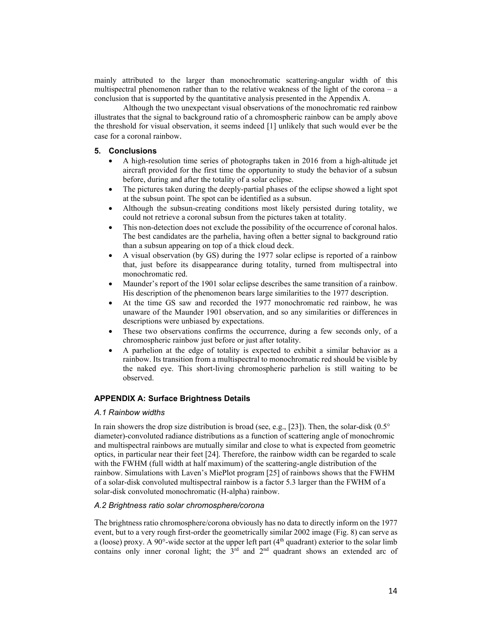mainly attributed to the larger than monochromatic scattering-angular width of this multispectral phenomenon rather than to the relative weakness of the light of the corona – a conclusion that is supported by the quantitative analysis presented in the Appendix A.

Although the two unexpectant visual observations of the monochromatic red rainbow illustrates that the signal to background ratio of a chromospheric rainbow can be amply above the threshold for visual observation, it seems indeed [1] unlikely that such would ever be the case for a coronal rainbow.

# **5. Conclusions**

- A high-resolution time series of photographs taken in 2016 from a high-altitude jet aircraft provided for the first time the opportunity to study the behavior of a subsun before, during and after the totality of a solar eclipse.
- The pictures taken during the deeply-partial phases of the eclipse showed a light spot at the subsun point. The spot can be identified as a subsun.
- Although the subsun-creating conditions most likely persisted during totality, we could not retrieve a coronal subsun from the pictures taken at totality.
- This non-detection does not exclude the possibility of the occurrence of coronal halos. The best candidates are the parhelia, having often a better signal to background ratio than a subsun appearing on top of a thick cloud deck.
- A visual observation (by GS) during the 1977 solar eclipse is reported of a rainbow that, just before its disappearance during totality, turned from multispectral into monochromatic red.
- Maunder's report of the 1901 solar eclipse describes the same transition of a rainbow. His description of the phenomenon bears large similarities to the 1977 description.
- At the time GS saw and recorded the 1977 monochromatic red rainbow, he was unaware of the Maunder 1901 observation, and so any similarities or differences in descriptions were unbiased by expectations.
- These two observations confirms the occurrence, during a few seconds only, of a chromospheric rainbow just before or just after totality.
- A parhelion at the edge of totality is expected to exhibit a similar behavior as a rainbow. Its transition from a multispectral to monochromatic red should be visible by the naked eye. This short-living chromospheric parhelion is still waiting to be observed.

# **APPENDIX A: Surface Brightness Details**

#### *A.1 Rainbow widths*

In rain showers the drop size distribution is broad (see, e.g., [23]). Then, the solar-disk  $(0.5^{\circ}$ diameter)-convoluted radiance distributions as a function of scattering angle of monochromic and multispectral rainbows are mutually similar and close to what is expected from geometric optics, in particular near their feet [24]. Therefore, the rainbow width can be regarded to scale with the FWHM (full width at half maximum) of the scattering-angle distribution of the rainbow. Simulations with Laven's MiePlot program [25] of rainbows shows that the FWHM of a solar-disk convoluted multispectral rainbow is a factor 5.3 larger than the FWHM of a solar-disk convoluted monochromatic (H-alpha) rainbow.

# *A.2 Brightness ratio solar chromosphere/corona*

The brightness ratio chromosphere/corona obviously has no data to directly inform on the 1977 event, but to a very rough first-order the geometrically similar 2002 image (Fig. 8) can serve as a (loose) proxy. A 90 $^{\circ}$ -wide sector at the upper left part ( $4^{\text{th}}$  quadrant) exterior to the solar limb contains only inner coronal light; the  $3<sup>rd</sup>$  and  $2<sup>nd</sup>$  quadrant shows an extended arc of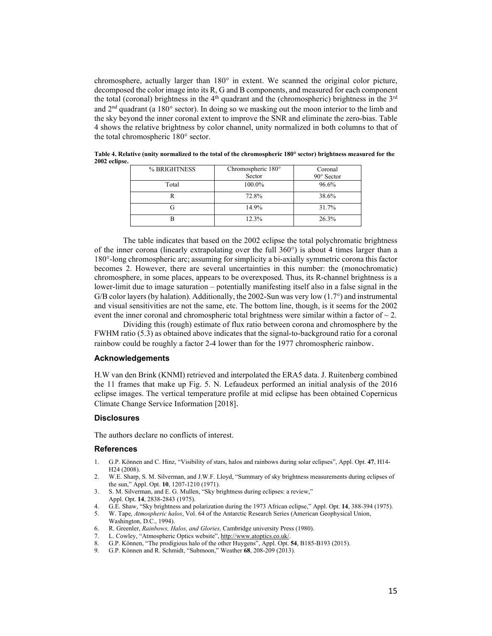chromosphere, actually larger than 180° in extent. We scanned the original color picture, decomposed the color image into its R, G and B components, and measured for each component the total (coronal) brightness in the  $4<sup>th</sup>$  quadrant and the (chromospheric) brightness in the  $3<sup>rd</sup>$ and  $2<sup>nd</sup>$  quadrant (a 180° sector). In doing so we masking out the moon interior to the limb and the sky beyond the inner coronal extent to improve the SNR and eliminate the zero-bias. Table 4 shows the relative brightness by color channel, unity normalized in both columns to that of the total chromospheric 180° sector.

| Coronal           |
|-------------------|
| $90^\circ$ Sector |
| 96.6%             |
| 38.6%             |
| 31.7%             |
| 26.3%             |
|                   |

**Table 4. Relative (unity normalized to the total of the chromospheric 180° sector) brightness measured for the 2002 eclipse.**

The table indicates that based on the 2002 eclipse the total polychromatic brightness of the inner corona (linearly extrapolating over the full  $360^{\circ}$ ) is about 4 times larger than a 180°-long chromospheric arc; assuming for simplicity a bi-axially symmetric corona this factor becomes 2. However, there are several uncertainties in this number: the (monochromatic) chromosphere, in some places, appears to be overexposed. Thus, its R-channel brightness is a lower-limit due to image saturation – potentially manifesting itself also in a false signal in the G/B color layers (by halation). Additionally, the 2002-Sun was very low  $(1.7^{\circ})$  and instrumental and visual sensitivities are not the same, etc. The bottom line, though, is it seems for the 2002 event the inner coronal and chromospheric total brightness were similar within a factor of  $\sim$  2.

Dividing this (rough) estimate of flux ratio between corona and chromosphere by the FWHM ratio (5.3) as obtained above indicates that the signal-to-background ratio for a coronal rainbow could be roughly a factor 2-4 lower than for the 1977 chromospheric rainbow.

# **Acknowledgements**

H.W van den Brink (KNMI) retrieved and interpolated the ERA5 data. J. Ruitenberg combined the 11 frames that make up Fig. 5. N. Lefaudeux performed an initial analysis of the 2016 eclipse images. The vertical temperature profile at mid eclipse has been obtained Copernicus Climate Change Service Information [2018].

#### **Disclosures**

The authors declare no conflicts of interest.

# **References**

- 1. G.P. Können and C. Hinz, "Visibility of stars, halos and rainbows during solar eclipses", Appl. Opt. **47**, H14- H24 (2008).
- 2. W.E. Sharp, S. M. Silverman, and J.W.F. Lloyd, "Summary of sky brightness measurements during eclipses of the sun," Appl. Opt. **10**, 1207-1210 (1971).
- 3. S. M. Silverman, and E. G. Mullen, "Sky brightness during eclipses: a review," Appl. Opt. **14**, 2838-2843 (1975).
- 4. G.E. Shaw, "Sky brightness and polarization during the 1973 African eclipse," Appl. Opt. **14**, 388-394 (1975).
- 5. W. Tape, *Atmospheric halos*, Vol. 64 of the Antarctic Research Series (American Geophysical Union,
- Washington, D.C., 1994). 6. R. Greenler, *Rainbows, Halos, and Glories,* Cambridge university Press (1980).
- 7. L. Cowley, "Atmospheric Optics website"[, http://www.atoptics.co.uk/.](http://www.atoptics.co.uk/)
- 8. G.P. Können, "The prodigious halo of the other Huygens", Appl. Opt. **54**, B185-B193 (2015).
- 9. G.P. Können and R. Schmidt, "Submoon," Weather **68**, 208-209 (2013).